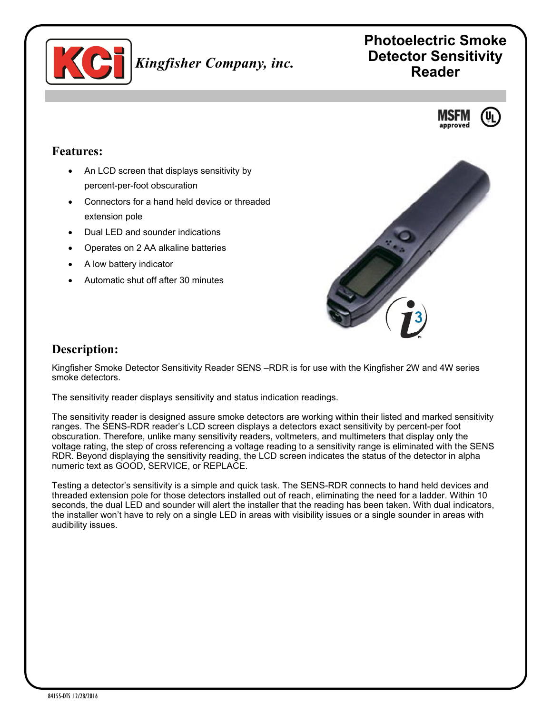

# **Photoelectric Smoke Detector Sensitivity Reader**



#### **Features:**

- An LCD screen that displays sensitivity by percent-per-foot obscuration
- Connectors for a hand held device or threaded extension pole
- Dual LED and sounder indications
- Operates on 2 AA alkaline batteries
- A low battery indicator
- Automatic shut off after 30 minutes



## **Description:**

Kingfisher Smoke Detector Sensitivity Reader SENS –RDR is for use with the Kingfisher 2W and 4W series smoke detectors.

The sensitivity reader displays sensitivity and status indication readings.

The sensitivity reader is designed assure smoke detectors are working within their listed and marked sensitivity ranges. The SENS-RDR reader's LCD screen displays a detectors exact sensitivity by percent-per foot obscuration. Therefore, unlike many sensitivity readers, voltmeters, and multimeters that display only the voltage rating, the step of cross referencing a voltage reading to a sensitivity range is eliminated with the SENS RDR. Beyond displaying the sensitivity reading, the LCD screen indicates the status of the detector in alpha numeric text as GOOD, SERVICE, or REPLACE.

Testing a detector's sensitivity is a simple and quick task. The SENS-RDR connects to hand held devices and threaded extension pole for those detectors installed out of reach, eliminating the need for a ladder. Within 10 seconds, the dual LED and sounder will alert the installer that the reading has been taken. With dual indicators, the installer won't have to rely on a single LED in areas with visibility issues or a single sounder in areas with audibility issues.